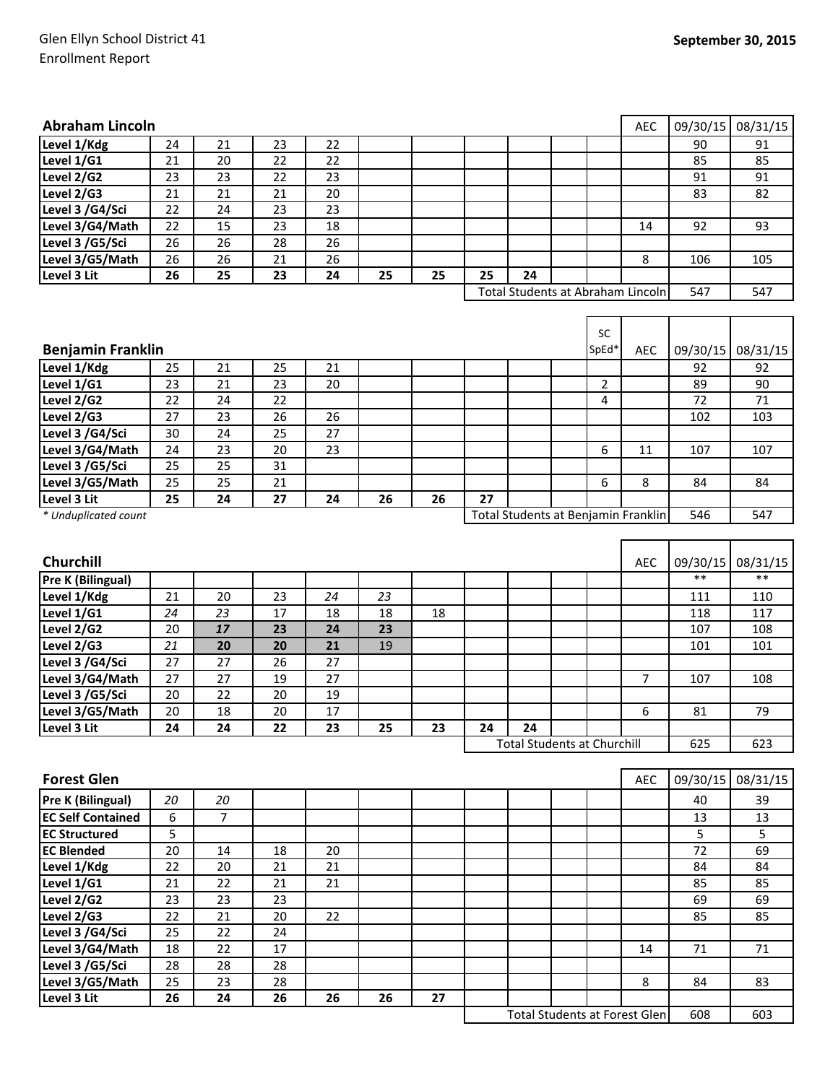## Glen Ellyn School District 41 Enrollment Report

| <b>Abraham Lincoln</b>   |    |                |        |                                     |    |    |    |                                      |                | <b>AEC</b>     | 09/30/15 | 08/31/15 |
|--------------------------|----|----------------|--------|-------------------------------------|----|----|----|--------------------------------------|----------------|----------------|----------|----------|
| Level 1/Kdg              | 24 | 21             | 23     | 22                                  |    |    |    |                                      |                |                | 90       | 91       |
| Level 1/G1               | 21 | 20             | 22     | 22                                  |    |    |    |                                      |                |                | 85       | 85       |
| Level 2/G2               | 23 | 23             | 22     | 23                                  |    |    |    |                                      |                |                | 91       | 91       |
| Level 2/G3               | 21 | 21             | 21     | 20                                  |    |    |    |                                      |                |                | 83       | 82       |
| Level 3 /G4/Sci          | 22 | 24             | 23     | 23                                  |    |    |    |                                      |                |                |          |          |
| Level 3/G4/Math          | 22 | 15             | 23     | 18                                  |    |    |    |                                      |                | 14             | 92       | 93       |
| Level 3 /G5/Sci          | 26 | 26             | 28     | 26                                  |    |    |    |                                      |                |                |          |          |
| Level 3/G5/Math          | 26 | 26             | 21     | 26                                  |    |    |    |                                      |                | 8              | 106      | 105      |
| Level 3 Lit              | 26 | 25             | 23     | 24                                  | 25 | 25 | 25 | 24                                   |                |                |          |          |
|                          |    |                |        |                                     |    |    |    | Total Students at Abraham Lincoln    |                |                | 547      | 547      |
|                          |    |                |        |                                     |    |    |    |                                      |                |                |          |          |
|                          |    |                |        |                                     |    |    |    |                                      | SC             |                |          |          |
| <b>Benjamin Franklin</b> |    |                |        |                                     |    |    |    |                                      | SpEd*          | <b>AEC</b>     | 09/30/15 | 08/31/15 |
| Level 1/Kdg              | 25 | 21             | 25     | 21                                  |    |    |    |                                      |                |                | 92       | 92       |
| Level 1/G1               | 23 | 21             | 23     | 20                                  |    |    |    |                                      | $\overline{2}$ |                | 89       | 90       |
| Level 2/G2               | 22 | 24             | 22     |                                     |    |    |    |                                      | 4              |                | 72       | 71       |
| Level 2/G3               | 27 | 23             | 26     | 26                                  |    |    |    |                                      |                |                | 102      | 103      |
| Level 3 /G4/Sci          | 30 | 24             | 25     | 27                                  |    |    |    |                                      |                |                |          |          |
| Level 3/G4/Math          | 24 | 23             | 20     | 23                                  |    |    |    |                                      | 6              | 11             | 107      | 107      |
| Level 3 /G5/Sci          | 25 | 25             | 31     |                                     |    |    |    |                                      |                |                |          |          |
| Level 3/G5/Math          | 25 | 25             | 21     |                                     |    |    |    |                                      | 6              | 8              | 84       | 84       |
| Level 3 Lit              | 25 | 24             | 27     | 24                                  | 26 | 26 | 27 |                                      |                |                |          |          |
| * Unduplicated count     |    |                |        | Total Students at Benjamin Franklin |    |    |    |                                      |                | 546            | 547      |          |
|                          |    |                |        |                                     |    |    |    |                                      |                |                |          |          |
| <b>Churchill</b>         |    |                |        |                                     |    |    |    |                                      |                | <b>AEC</b>     | 09/30/15 | 08/31/15 |
| <b>Pre K (Bilingual)</b> |    |                |        |                                     |    |    |    |                                      |                |                | $**$     | $**$     |
| Level 1/Kdg              | 21 | 20             | 23     | 24                                  | 23 |    |    |                                      |                |                | 111      | 110      |
| Level 1/G1               | 24 | 23             | 17     | 18                                  | 18 | 18 |    |                                      |                |                | 118      | 117      |
| Level 2/G2               | 20 | 17             | 23     | 24                                  | 23 |    |    |                                      |                |                | 107      | 108      |
| Level 2/G3               | 21 | 20             | 20     | 21                                  | 19 |    |    |                                      |                |                | 101      | 101      |
| Level 3 /G4/Sci          | 27 | 27             | 26     | 27                                  |    |    |    |                                      |                |                |          |          |
| Level 3/G4/Math          | 27 | 27             | 19     | 27                                  |    |    |    |                                      |                | $\overline{7}$ | 107      | 108      |
| Level 3 /G5/Sci          | 20 | 22             | 20     | 19                                  |    |    |    |                                      |                |                |          |          |
| Level 3/G5/Math          | 20 | 18             | 20     | 17                                  |    |    |    |                                      |                | 6              | 81       | 79       |
| Level 3 Lit              | 24 | 24             | 22     | 23                                  | 25 | 23 | 24 | 24                                   |                |                |          |          |
|                          |    |                |        |                                     |    |    |    | <b>Total Students at Churchill</b>   |                |                | 625      | 623      |
|                          |    |                |        |                                     |    |    |    |                                      |                |                |          |          |
| <b>Forest Glen</b>       |    |                |        |                                     |    |    |    |                                      |                | AEC            | 09/30/15 | 08/31/15 |
| Pre K (Bilingual)        | 20 | 20             |        |                                     |    |    |    |                                      |                |                | 40       | 39       |
| <b>EC Self Contained</b> | 6  | $\overline{7}$ |        |                                     |    |    |    |                                      |                |                | 13       | 13       |
| <b>EC Structured</b>     | 5  |                |        |                                     |    |    |    |                                      |                |                | 5        | 5        |
| <b>EC Blended</b>        | 20 | 14             | 18     | 20                                  |    |    |    |                                      |                |                | 72       | 69       |
| Level 1/Kdg              | 22 | 20             | 21     | 21                                  |    |    |    |                                      |                |                | 84       | 84       |
| Level 1/G1               | 21 | 22             | 21     | 21                                  |    |    |    |                                      |                |                | 85       | 85       |
| Level 2/G2               | 23 | 23             | 23     |                                     |    |    |    |                                      |                |                | 69       | 69       |
| Level 2/G3               | 22 | 21             | 20     | 22                                  |    |    |    |                                      |                |                | 85       | 85       |
| Level 3 /G4/Sci          | 25 | 22             | 24     |                                     |    |    |    |                                      |                |                |          |          |
| Level 3/G4/Math          | 18 | 22             | $17\,$ |                                     |    |    |    |                                      |                | 14             | 71       | 71       |
| Level 3 /G5/Sci          | 28 | 28             | 28     |                                     |    |    |    |                                      |                |                |          |          |
| Level 3/G5/Math          | 25 | 23             | 28     |                                     |    |    |    |                                      |                | 8              | 84       | 83       |
| Level 3 Lit              | 26 | 24             | 26     | 26                                  | 26 | 27 |    |                                      |                |                |          |          |
|                          |    |                |        |                                     |    |    |    | <b>Total Students at Forest Glen</b> |                |                | 608      | 603      |